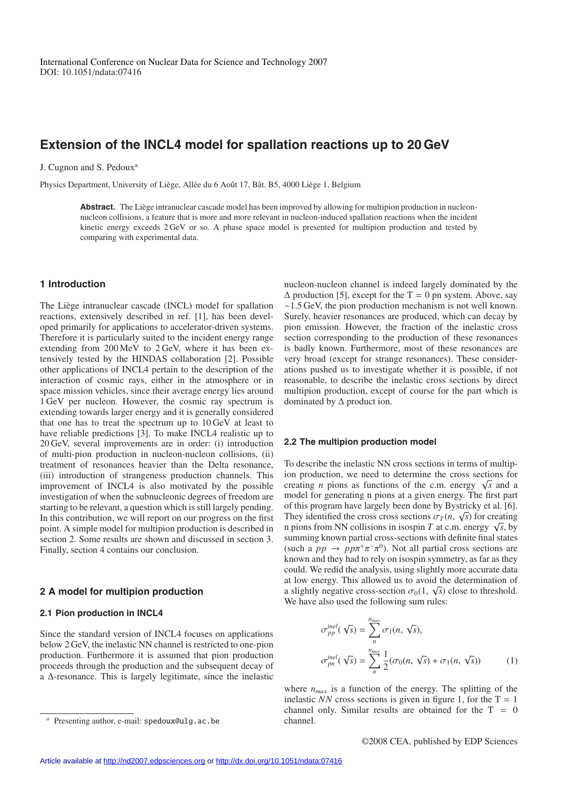# **Extension of the INCL4 model for spallation reactions up to 20 GeV**

J. Cugnon and S. Pedoux<sup>a</sup>

Physics Department, University of Liège, Allée du 6 Août 17, Bât. B5, 4000 Liège 1, Belgium

Abstract. The Liège intranuclear cascade model has been improved by allowing for multipion production in nucleonnucleon collisions, a feature that is more and more relevant in nucleon-induced spallation reactions when the incident kinetic energy exceeds 2 GeV or so. A phase space model is presented for multipion production and tested by comparing with experimental data.

## **1 Introduction**

The Liège intranuclear cascade (INCL) model for spallation reactions, extensively described in ref. [1], has been developed primarily for applications to accelerator-driven systems. Therefore it is particularly suited to the incident energy range extending from 200 MeV to 2 GeV, where it has been extensively tested by the HINDAS collaboration [2]. Possible other applications of INCL4 pertain to the description of the interaction of cosmic rays, either in the atmosphere or in space mission vehicles, since their average energy lies around 1 GeV per nucleon. However, the cosmic ray spectrum is extending towards larger energy and it is generally considered that one has to treat the spectrum up to 10 GeV at least to have reliable predictions [3]. To make INCL4 realistic up to 20 GeV, several improvements are in order: (i) introduction of multi-pion production in nucleon-nucleon collisions, (ii) treatment of resonances heavier than the Delta resonance, (iii) introduction of strangeness production channels. This improvement of INCL4 is also motivated by the possible investigation of when the subnucleonic degrees of freedom are starting to be relevant, a question which is still largely pending. In this contribution, we will report on our progress on the first point. A simple model for multipion production is described in section 2. Some results are shown and discussed in section 3. Finally, section 4 contains our conclusion.

## **2 A model for multipion production**

### **2.1 Pion production in INCL4**

Since the standard version of INCL4 focuses on applications below 2 GeV, the inelastic NN channel is restricted to one-pion production. Furthermore it is assumed that pion production proceeds through the production and the subsequent decay of a ∆-resonance. This is largely legitimate, since the inelastic nucleon-nucleon channel is indeed largely dominated by the  $\Delta$  production [5], except for the T = 0 pn system. Above, say ∼1.5 GeV, the pion production mechanism is not well known. Surely, heavier resonances are produced, which can decay by pion emission. However, the fraction of the inelastic cross section corresponding to the production of these resonances is badly known. Furthermore, most of these resonances are very broad (except for strange resonances). These considerations pushed us to investigate whether it is possible, if not reasonable, to describe the inelastic cross sections by direct multipion production, except of course for the part which is dominated by  $\Delta$  product ion.

## **2.2 The multipion production model**

To describe the inelastic NN cross sections in terms of multipion production, we need to determine the cross sections for creating *n* pions as functions of the c.m. energy  $\sqrt{s}$  and a model for generating n pions at a given energy. The first part of this program have largely been done by Bystricky et al. [6]. They identified the cross cross sections  $\sigma_T(n, \sqrt{s})$  for creating n pions from NN collisions in isospin *T* at c.m. energy  $\sqrt{s}$ , by summing known partial cross-sections with definite final states (such a  $pp \rightarrow pp\pi^{+}\pi^{-}\pi^{0}$ ). Not all partial cross sections are known and they had to rely on isospin symmetry, as far as they could. We redid the analysis, using slightly more accurate data at low energy. This allowed us to avoid the determination of a slightly negative cross-section  $\sigma_0(1, \sqrt{s})$  close to threshold. We have also used the following sum rules:

$$
\sigma_{pp}^{inel}(\sqrt{s}) = \sum_{n}^{n_{max}} \sigma_1(n, \sqrt{s}),
$$
  
\n
$$
\sigma_{pn}^{inel}(\sqrt{s}) = \sum_{n}^{n_{max}} \frac{1}{2} (\sigma_0(n, \sqrt{s}) + \sigma_1(n, \sqrt{s}))
$$
\n(1)

where  $n_{max}$  is a function of the energy. The splitting of the inelastic *NN* cross sections is given in figure 1, for the  $T = 1$ channel only. Similar results are obtained for the  $T = 0$ channel.

Presenting author, e-mail: spedoux@ulg.ac.be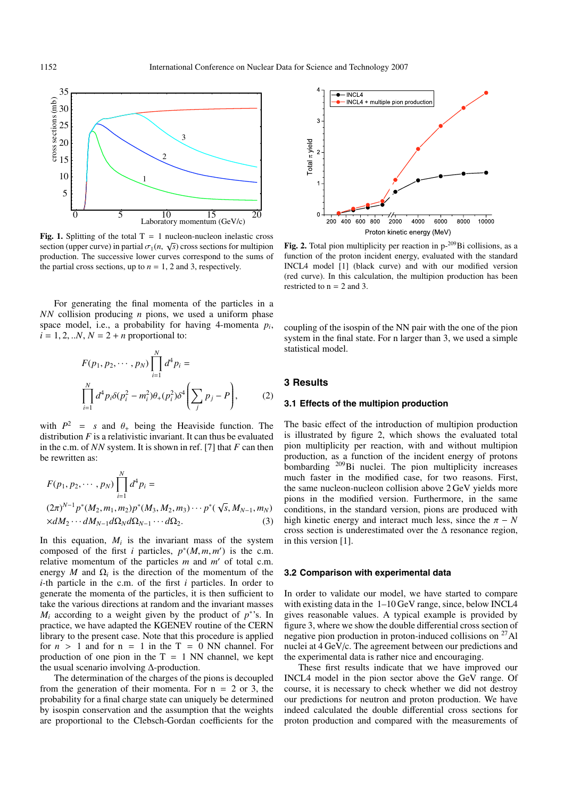

**Fig. 1.** Splitting of the total  $T = 1$  nucleon-nucleon inelastic cross section (upper curve) in partial  $\sigma_1(n, \sqrt{s})$  cross sections for multipion production. The successive lower curves correspond to the sums of the partial cross sections, up to  $n = 1, 2$  and 3, respectively.

For generating the final momenta of the particles in a *NN* collision producing *n* pions, we used a uniform phase space model, i.e., a probability for having 4-momenta  $p_i$ ,  $i = 1, 2, \ldots N$ ,  $N = 2 + n$  proportional to:

$$
F(p_1, p_2, \cdots, p_N) \prod_{i=1}^N d^4 p_i = \prod_{i=1}^N d^4 p_i \delta(p_i^2 - m_i^2) \theta_+(p_i^2) \delta^4 \left( \sum_j p_j - P \right), \tag{2}
$$

with  $P^2 = s$  and  $\theta_+$  being the Heaviside function. The distribution *F* is a relativistic invariant. It can thus be evaluated in the c.m. of *NN* system. It is shown in ref. [7] that *F* can then be rewritten as:

$$
F(p_1, p_2, \cdots, p_N) \prod_{i=1}^N d^4 p_i =
$$
  
\n
$$
(2\pi)^{N-1} p^*(M_2, m_1, m_2) p^*(M_3, M_2, m_3) \cdots p^*(\sqrt{s}, M_{N-1}, m_N)
$$
  
\n
$$
\times dM_2 \cdots dM_{N-1} d\Omega_N d\Omega_{N-1} \cdots d\Omega_2.
$$
 (3)

In this equation,  $M_i$  is the invariant mass of the system composed of the first *i* particles,  $p^*(M, m, m')$  is the c.m. relative momentum of the particles *m* and *m'* of total c.m. energy *M* and  $\Omega_i$  is the direction of the momentum of the *i*-th particle in the c.m. of the first *i* particles. In order to generate the momenta of the particles, it is then sufficient to take the various directions at random and the invariant masses  $M_i$  according to a weight given by the product of  $p^*$ 's. In practice, we have adapted the KGENEV routine of the CERN library to the present case. Note that this procedure is applied for  $n > 1$  and for  $n = 1$  in the  $T = 0$  NN channel. For production of one pion in the  $T = 1$  NN channel, we kept the usual scenario involving ∆-production.

The determination of the charges of the pions is decoupled from the generation of their momenta. For  $n = 2$  or 3, the probability for a final charge state can uniquely be determined by isospin conservation and the assumption that the weights are proportional to the Clebsch-Gordan coefficients for the



Fig. 2. Total pion multiplicity per reaction in p-<sup>209</sup>Bi collisions, as a function of the proton incident energy, evaluated with the standard INCL4 model [1] (black curve) and with our modified version (red curve). In this calculation, the multipion production has been restricted to  $n = 2$  and 3.

coupling of the isospin of the NN pair with the one of the pion system in the final state. For n larger than 3, we used a simple statistical model.

## **3 Results**

### **3.1 Effects of the multipion production**

The basic effect of the introduction of multipion production is illustrated by figure 2, which shows the evaluated total pion multiplicity per reaction, with and without multipion production, as a function of the incident energy of protons bombarding 209Bi nuclei. The pion multiplicity increases much faster in the modified case, for two reasons. First, the same nucleon-nucleon collision above 2 GeV yields more pions in the modified version. Furthermore, in the same conditions, in the standard version, pions are produced with high kinetic energy and interact much less, since the  $\pi - N$ cross section is underestimated over the ∆ resonance region, in this version [1].

#### **3.2 Comparison with experimental data**

In order to validate our model, we have started to compare with existing data in the  $1-10 \text{ GeV}$  range, since, below INCL4 gives reasonable values. A typical example is provided by figure 3, where we show the double differential cross section of negative pion production in proton-induced collisions on 27Al nuclei at 4 GeV/c. The agreement between our predictions and the experimental data is rather nice and encouraging.

These first results indicate that we have improved our INCL4 model in the pion sector above the GeV range. Of course, it is necessary to check whether we did not destroy our predictions for neutron and proton production. We have indeed calculated the double differential cross sections for proton production and compared with the measurements of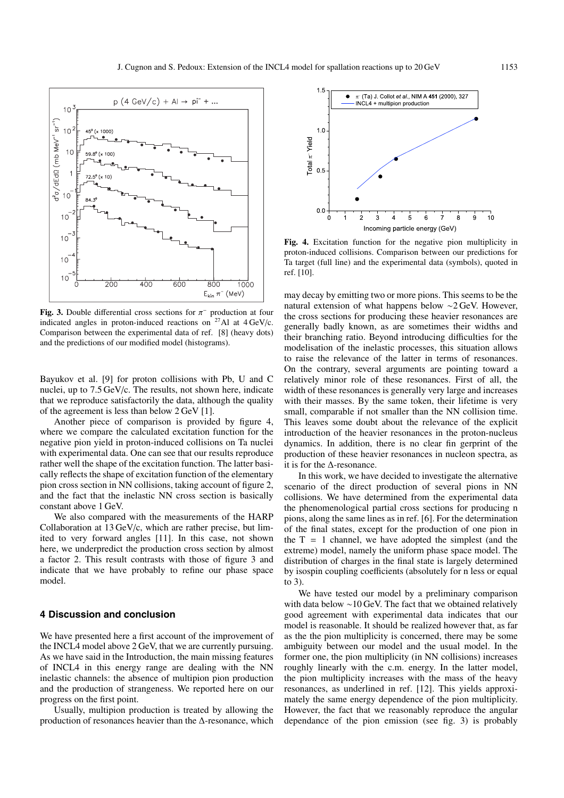

**Fig. 3.** Double differential cross sections for π<sup>−</sup> production at four indicated angles in proton-induced reactions on  $27$ Al at  $4 \text{ GeV/c}$ . Comparison between the experimental data of ref. [8] (heavy dots) and the predictions of our modified model (histograms).

Bayukov et al. [9] for proton collisions with Pb, U and C nuclei, up to 7.5 GeV/c. The results, not shown here, indicate that we reproduce satisfactorily the data, although the quality of the agreement is less than below 2 GeV [1].

Another piece of comparison is provided by figure 4, where we compare the calculated excitation function for the negative pion yield in proton-induced collisions on Ta nuclei with experimental data. One can see that our results reproduce rather well the shape of the excitation function. The latter basically reflects the shape of excitation function of the elementary pion cross section in NN collisions, taking account of figure 2, and the fact that the inelastic NN cross section is basically constant above 1 GeV.

We also compared with the measurements of the HARP Collaboration at 13 GeV/c, which are rather precise, but limited to very forward angles [11]. In this case, not shown here, we underpredict the production cross section by almost a factor 2. This result contrasts with those of figure 3 and indicate that we have probably to refine our phase space model.

## **4 Discussion and conclusion**

We have presented here a first account of the improvement of the INCL4 model above 2 GeV, that we are currently pursuing. As we have said in the Introduction, the main missing features of INCL4 in this energy range are dealing with the NN inelastic channels: the absence of multipion pion production and the production of strangeness. We reported here on our progress on the first point.

Usually, multipion production is treated by allowing the production of resonances heavier than the ∆-resonance, which



**Fig. 4.** Excitation function for the negative pion multiplicity in proton-induced collisions. Comparison between our predictions for Ta target (full line) and the experimental data (symbols), quoted in ref. [10].

may decay by emitting two or more pions. This seems to be the natural extension of what happens below ∼2 GeV. However, the cross sections for producing these heavier resonances are generally badly known, as are sometimes their widths and their branching ratio. Beyond introducing difficulties for the modelisation of the inelastic processes, this situation allows to raise the relevance of the latter in terms of resonances. On the contrary, several arguments are pointing toward a relatively minor role of these resonances. First of all, the width of these resonances is generally very large and increases with their masses. By the same token, their lifetime is very small, comparable if not smaller than the NN collision time. This leaves some doubt about the relevance of the explicit introduction of the heavier resonances in the proton-nucleus dynamics. In addition, there is no clear fin gerprint of the production of these heavier resonances in nucleon spectra, as it is for the  $\Delta$ -resonance.

In this work, we have decided to investigate the alternative scenario of the direct production of several pions in NN collisions. We have determined from the experimental data the phenomenological partial cross sections for producing n pions, along the same lines as in ref. [6]. For the determination of the final states, except for the production of one pion in the  $T = 1$  channel, we have adopted the simplest (and the extreme) model, namely the uniform phase space model. The distribution of charges in the final state is largely determined by isospin coupling coefficients (absolutely for n less or equal to 3).

We have tested our model by a preliminary comparison with data below ∼10 GeV. The fact that we obtained relatively good agreement with experimental data indicates that our model is reasonable. It should be realized however that, as far as the the pion multiplicity is concerned, there may be some ambiguity between our model and the usual model. In the former one, the pion multiplicity (in NN collisions) increases roughly linearly with the c.m. energy. In the latter model, the pion multiplicity increases with the mass of the heavy resonances, as underlined in ref. [12]. This yields approximately the same energy dependence of the pion multiplicity. However, the fact that we reasonably reproduce the angular dependance of the pion emission (see fig. 3) is probably